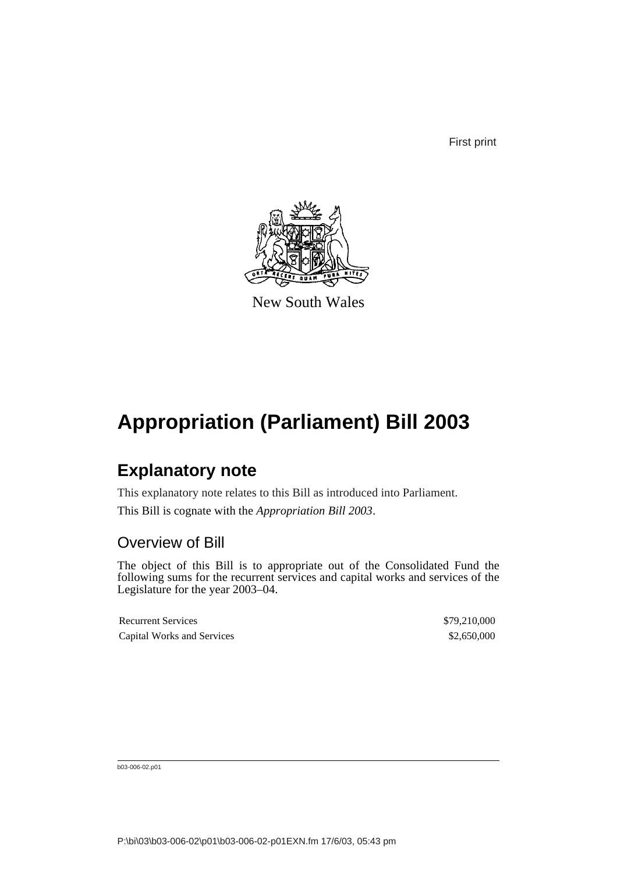First print



New South Wales

# **Appropriation (Parliament) Bill 2003**

### **Explanatory note**

This explanatory note relates to this Bill as introduced into Parliament. This Bill is cognate with the *Appropriation Bill 2003*.

### Overview of Bill

The object of this Bill is to appropriate out of the Consolidated Fund the following sums for the recurrent services and capital works and services of the Legislature for the year 2003–04.

Recurrent Services  $$79,210,000$ Capital Works and Services  $$2,650,000$ 

b03-006-02.p01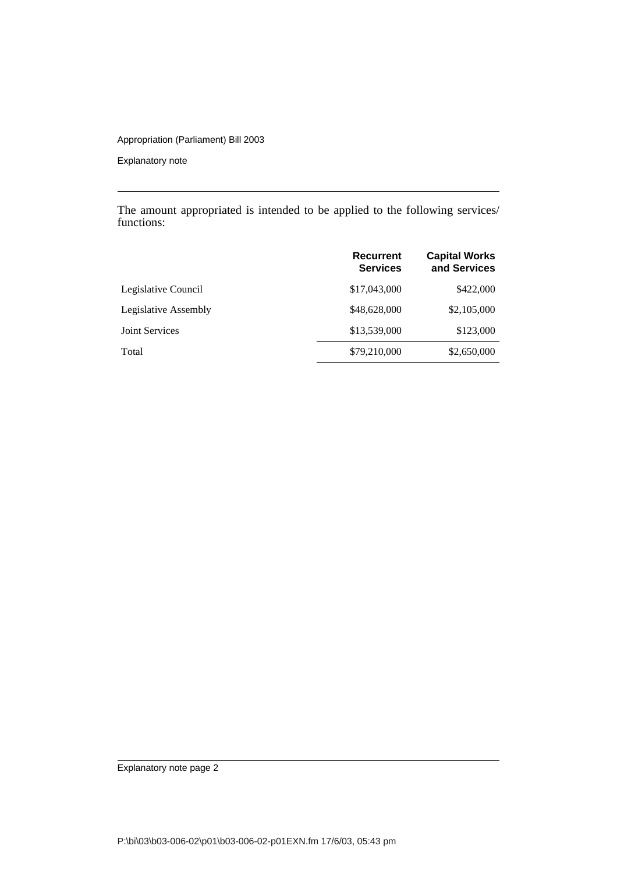#### Appropriation (Parliament) Bill 2003

Explanatory note

The amount appropriated is intended to be applied to the following services/ functions:

|                       | Recurrent<br><b>Services</b> | <b>Capital Works</b><br>and Services |
|-----------------------|------------------------------|--------------------------------------|
| Legislative Council   | \$17,043,000                 | \$422,000                            |
| Legislative Assembly  | \$48,628,000                 | \$2,105,000                          |
| <b>Joint Services</b> | \$13,539,000                 | \$123,000                            |
| Total                 | \$79,210,000                 | \$2,650,000                          |

Explanatory note page 2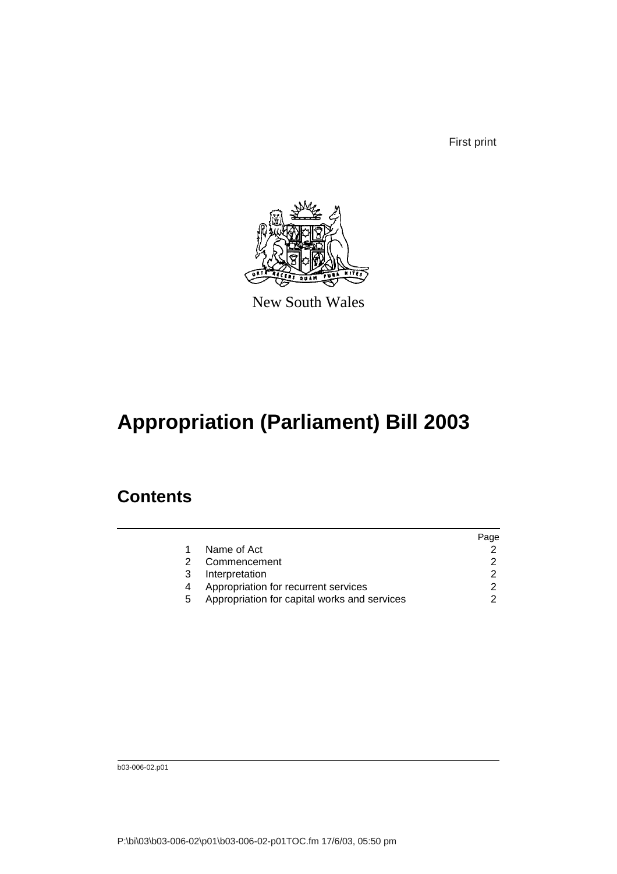First print



New South Wales

# **Appropriation (Parliament) Bill 2003**

### **Contents**

|   |                                              | Page |
|---|----------------------------------------------|------|
|   | Name of Act                                  |      |
|   | Commencement                                 |      |
| 3 | Interpretation                               |      |
|   | Appropriation for recurrent services         |      |
| 5 | Appropriation for capital works and services |      |

b03-006-02.p01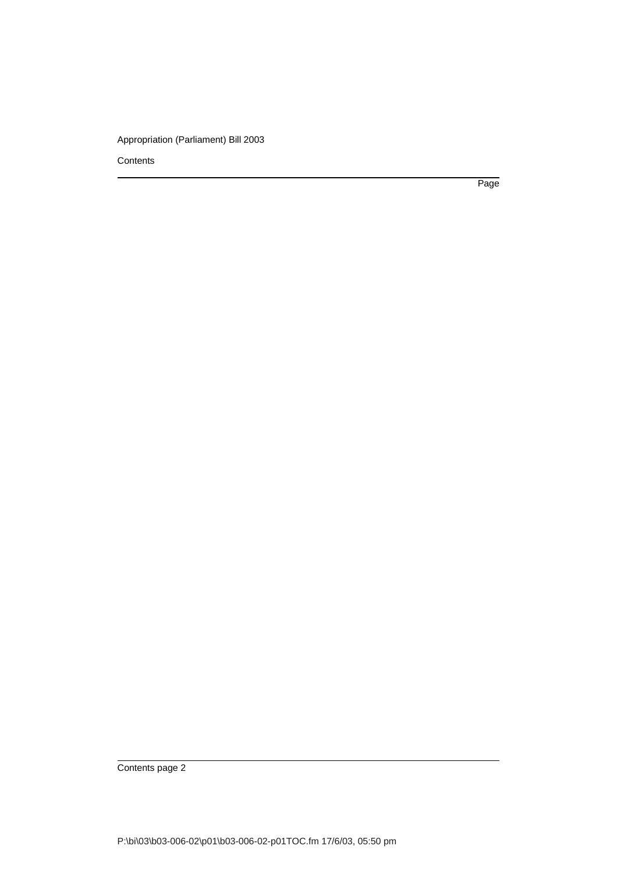### Appropriation (Parliament) Bill 2003

**Contents** 

Page

Contents page 2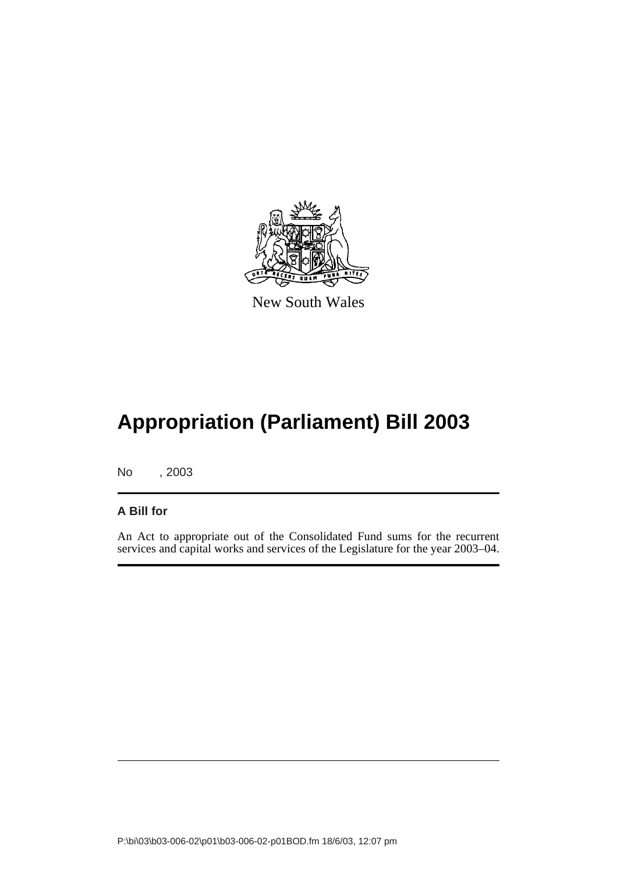

New South Wales

## **Appropriation (Parliament) Bill 2003**

No , 2003

#### **A Bill for**

An Act to appropriate out of the Consolidated Fund sums for the recurrent services and capital works and services of the Legislature for the year 2003–04.